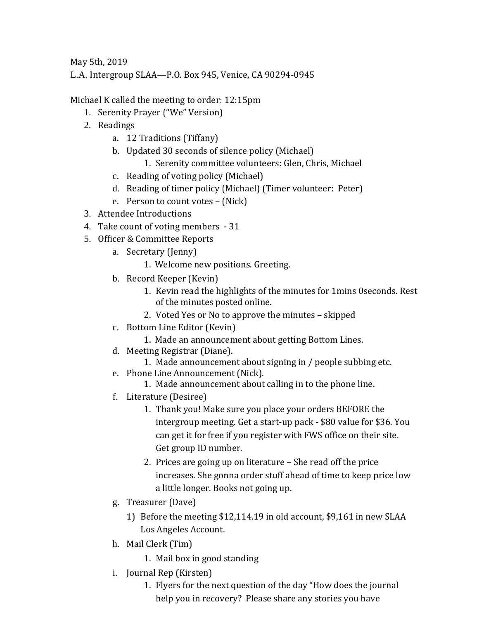May 5th, 2019

L.A. Intergroup SLAA—P.O. Box 945, Venice, CA 90294-0945

Michael K called the meeting to order: 12:15pm

- 1. Serenity Prayer ("We" Version)
- 2. Readings
	- a. 12 Traditions (Tiffany)
	- b. Updated 30 seconds of silence policy (Michael)
		- 1. Serenity committee volunteers: Glen, Chris, Michael
	- c. Reading of voting policy (Michael)
	- d. Reading of timer policy (Michael) (Timer volunteer: Peter)
	- e. Person to count votes (Nick)
- 3. Attendee Introductions
- 4. Take count of voting members 31
- 5. Officer & Committee Reports
	- a. Secretary (Jenny)
		- 1. Welcome new positions. Greeting.
	- b. Record Keeper (Kevin)
		- 1. Kevin read the highlights of the minutes for 1mins 0seconds. Rest of the minutes posted online.
		- 2. Voted Yes or No to approve the minutes skipped
	- c. Bottom Line Editor (Kevin)
		- 1. Made an announcement about getting Bottom Lines.
	- d. Meeting Registrar (Diane).
		- 1. Made announcement about signing in / people subbing etc.
	- e. Phone Line Announcement (Nick).
		- 1. Made announcement about calling in to the phone line.
	- f. Literature (Desiree)
		- 1. Thank you! Make sure you place your orders BEFORE the intergroup meeting. Get a start-up pack - \$80 value for \$36. You can get it for free if you register with FWS office on their site. Get group ID number.
		- 2. Prices are going up on literature She read off the price increases. She gonna order stuff ahead of time to keep price low a little longer. Books not going up.
	- g. Treasurer (Dave)
		- 1) Before the meeting \$12,114.19 in old account, \$9,161 in new SLAA Los Angeles Account.
	- h. Mail Clerk (Tim)
		- 1. Mail box in good standing
	- i. Journal Rep (Kirsten)
		- 1. Flyers for the next question of the day "How does the journal help you in recovery? Please share any stories you have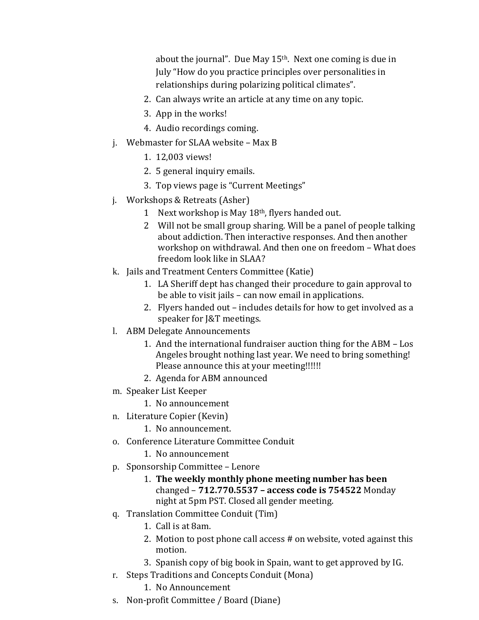about the journal". Due May  $15<sup>th</sup>$ . Next one coming is due in July "How do you practice principles over personalities in relationships during polarizing political climates".

- 2. Can always write an article at any time on any topic.
- 3. App in the works!
- 4. Audio recordings coming.
- j. Webmaster for SLAA website Max B
	- 1. 12,003 views!
	- 2. 5 general inquiry emails.
	- 3. Top views page is "Current Meetings"
- j. Workshops & Retreats (Asher)
	- 1 Next workshop is May 18th, flyers handed out.
	- 2 Will not be small group sharing. Will be a panel of people talking about addiction. Then interactive responses. And then another workshop on withdrawal. And then one on freedom – What does freedom look like in SLAA?
- k. Jails and Treatment Centers Committee (Katie)
	- 1. LA Sheriff dept has changed their procedure to gain approval to be able to visit jails – can now email in applications.
	- 2. Flyers handed out includes details for how to get involved as a speaker for J&T meetings.
- l. ABM Delegate Announcements
	- 1. And the international fundraiser auction thing for the ABM Los Angeles brought nothing last year. We need to bring something! Please announce this at your meeting!!!!!!
	- 2. Agenda for ABM announced
- m. Speaker List Keeper
	- 1. No announcement
- n. Literature Copier (Kevin)
	- 1. No announcement.
- o. Conference Literature Committee Conduit
	- 1. No announcement
- p. Sponsorship Committee Lenore
	- 1. **The weekly monthly phone meeting number has been** changed – **712.770.5537 – access code is 754522** Monday night at 5pm PST. Closed all gender meeting.
- q. Translation Committee Conduit (Tim)
	- 1. Call is at 8am.
	- 2. Motion to post phone call access # on website, voted against this motion.
	- 3. Spanish copy of big book in Spain, want to get approved by IG.
- r. Steps Traditions and Concepts Conduit (Mona)
	- 1. No Announcement
- s. Non-profit Committee / Board (Diane)